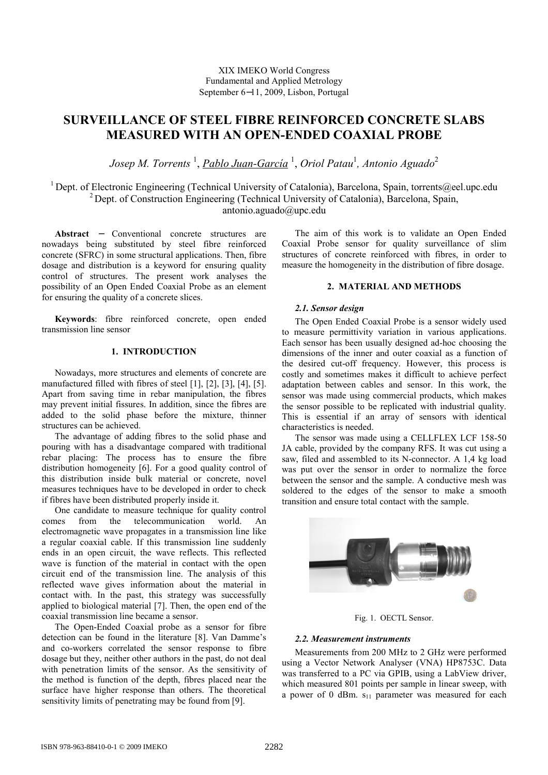# XIX IMEKO World Congress Fundamental and Applied Metrology September 6−11, 2009, Lisbon, Portugal

# SURVEILLANCE OF STEEL FIBRE REINFORCED CONCRETE SLABS MEASURED WITH AN OPEN-ENDED COAXIAL PROBE

Josep M. Torrents <sup>1</sup>, <u>Pablo Juan-García</u> <sup>1</sup>, Oriol Patau<sup>1</sup>, Antonio Aguado<sup>2</sup>

<sup>1</sup> Dept. of Electronic Engineering (Technical University of Catalonia), Barcelona, Spain, torrents@eel.upc.edu <sup>2</sup> Dept. of Construction Engineering (Technical University of Catalonia), Barcelona, Spain, antonio.aguado@upc.edu

Abstract − Conventional concrete structures are nowadays being substituted by steel fibre reinforced concrete (SFRC) in some structural applications. Then, fibre dosage and distribution is a keyword for ensuring quality control of structures. The present work analyses the possibility of an Open Ended Coaxial Probe as an element for ensuring the quality of a concrete slices.

Keywords: fibre reinforced concrete, open ended transmission line sensor

## 1. INTRODUCTION

Nowadays, more structures and elements of concrete are manufactured filled with fibres of steel [1], [2], [3], [4], [5]. Apart from saving time in rebar manipulation, the fibres may prevent initial fissures. In addition, since the fibres are added to the solid phase before the mixture, thinner structures can be achieved.

The advantage of adding fibres to the solid phase and pouring with has a disadvantage compared with traditional rebar placing: The process has to ensure the fibre distribution homogeneity [6]. For a good quality control of this distribution inside bulk material or concrete, novel measures techniques have to be developed in order to check if fibres have been distributed properly inside it.

One candidate to measure technique for quality control<br>comes from the telecommunication world An from the telecommunication world. An electromagnetic wave propagates in a transmission line like a regular coaxial cable. If this transmission line suddenly ends in an open circuit, the wave reflects. This reflected wave is function of the material in contact with the open circuit end of the transmission line. The analysis of this reflected wave gives information about the material in contact with. In the past, this strategy was successfully applied to biological material [7]. Then, the open end of the coaxial transmission line became a sensor.

The Open-Ended Coaxial probe as a sensor for fibre detection can be found in the literature [8]. Van Damme's and co-workers correlated the sensor response to fibre dosage but they, neither other authors in the past, do not deal with penetration limits of the sensor. As the sensitivity of the method is function of the depth, fibres placed near the surface have higher response than others. The theoretical sensitivity limits of penetrating may be found from [9].

The aim of this work is to validate an Open Ended Coaxial Probe sensor for quality surveillance of slim structures of concrete reinforced with fibres, in order to measure the homogeneity in the distribution of fibre dosage.

## 2. MATERIAL AND METHODS

## 2.1. Sensor design

The Open Ended Coaxial Probe is a sensor widely used to measure permittivity variation in various applications. Each sensor has been usually designed ad-hoc choosing the dimensions of the inner and outer coaxial as a function of the desired cut-off frequency. However, this process is costly and sometimes makes it difficult to achieve perfect adaptation between cables and sensor. In this work, the sensor was made using commercial products, which makes the sensor possible to be replicated with industrial quality. This is essential if an array of sensors with identical characteristics is needed.

The sensor was made using a CELLFLEX LCF 158-50 JA cable, provided by the company RFS. It was cut using a saw, filed and assembled to its N-connector. A 1,4 kg load was put over the sensor in order to normalize the force between the sensor and the sample. A conductive mesh was soldered to the edges of the sensor to make a smooth transition and ensure total contact with the sample.



Fig. 1. OECTL Sensor.

### 2.2. Measurement instruments

Measurements from 200 MHz to 2 GHz were performed using a Vector Network Analyser (VNA) HP8753C. Data was transferred to a PC via GPIB, using a LabView driver, which measured 801 points per sample in linear sweep, with a power of 0 dBm.  $s_{11}$  parameter was measured for each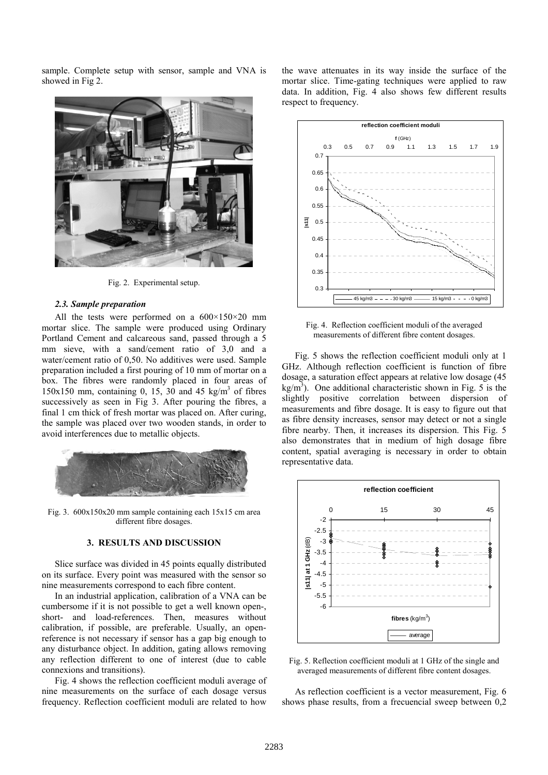sample. Complete setup with sensor, sample and VNA is showed in Fig 2.



Fig. 2. Experimental setup.

#### 2.3. Sample preparation

All the tests were performed on a  $600\times150\times20$  mm mortar slice. The sample were produced using Ordinary Portland Cement and calcareous sand, passed through a 5 mm sieve, with a sand/cement ratio of 3,0 and a water/cement ratio of 0,50. No additives were used. Sample preparation included a first pouring of 10 mm of mortar on a box. The fibres were randomly placed in four areas of 150x150 mm, containing 0, 15, 30 and 45 kg/m<sup>3</sup> of fibres successively as seen in Fig 3. After pouring the fibres, a final 1 cm thick of fresh mortar was placed on. After curing, the sample was placed over two wooden stands, in order to avoid interferences due to metallic objects.



Fig. 3. 600x150x20 mm sample containing each 15x15 cm area different fibre dosages.

### 3. RESULTS AND DISCUSSION

Slice surface was divided in 45 points equally distributed on its surface. Every point was measured with the sensor so nine measurements correspond to each fibre content.

In an industrial application, calibration of a VNA can be cumbersome if it is not possible to get a well known open-, short- and load-references. Then, measures without calibration, if possible, are preferable. Usually, an openreference is not necessary if sensor has a gap big enough to any disturbance object. In addition, gating allows removing any reflection different to one of interest (due to cable connexions and transitions).

Fig. 4 shows the reflection coefficient moduli average of nine measurements on the surface of each dosage versus frequency. Reflection coefficient moduli are related to how

the wave attenuates in its way inside the surface of the mortar slice. Time-gating techniques were applied to raw data. In addition, Fig. 4 also shows few different results respect to frequency.



Fig. 4. Reflection coefficient moduli of the averaged measurements of different fibre content dosages.

Fig. 5 shows the reflection coefficient moduli only at 1 GHz. Although reflection coefficient is function of fibre dosage, a saturation effect appears at relative low dosage (45  $\text{kg/m}^3$ ). One additional characteristic shown in Fig. 5 is the slightly positive correlation between dispersion of measurements and fibre dosage. It is easy to figure out that as fibre density increases, sensor may detect or not a single fibre nearby. Then, it increases its dispersion. This Fig. 5 also demonstrates that in medium of high dosage fibre content, spatial averaging is necessary in order to obtain representative data.



Fig. 5. Reflection coefficient moduli at 1 GHz of the single and averaged measurements of different fibre content dosages.

As reflection coefficient is a vector measurement, Fig. 6 shows phase results, from a frecuencial sweep between 0,2